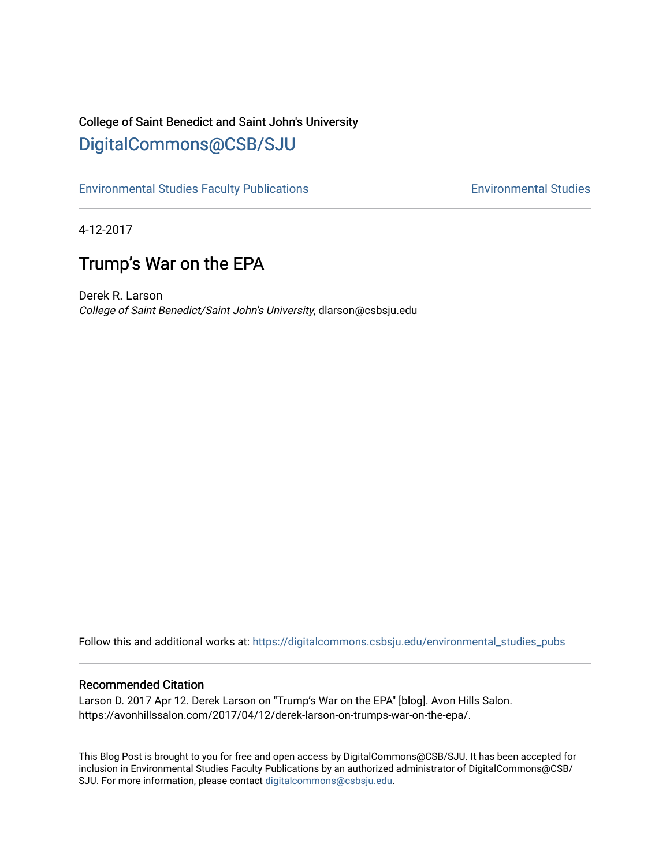## College of Saint Benedict and Saint John's University [DigitalCommons@CSB/SJU](https://digitalcommons.csbsju.edu/)

[Environmental Studies Faculty Publications](https://digitalcommons.csbsju.edu/environmental_studies_pubs) **Environmental Studies** Environmental Studies

4-12-2017

## Trump's War on the EPA

Derek R. Larson College of Saint Benedict/Saint John's University, dlarson@csbsju.edu

Follow this and additional works at: [https://digitalcommons.csbsju.edu/environmental\\_studies\\_pubs](https://digitalcommons.csbsju.edu/environmental_studies_pubs?utm_source=digitalcommons.csbsju.edu%2Fenvironmental_studies_pubs%2F6&utm_medium=PDF&utm_campaign=PDFCoverPages) 

## Recommended Citation

Larson D. 2017 Apr 12. Derek Larson on "Trump's War on the EPA" [blog]. Avon Hills Salon. https://avonhillssalon.com/2017/04/12/derek-larson-on-trumps-war-on-the-epa/.

This Blog Post is brought to you for free and open access by DigitalCommons@CSB/SJU. It has been accepted for inclusion in Environmental Studies Faculty Publications by an authorized administrator of DigitalCommons@CSB/ SJU. For more information, please contact [digitalcommons@csbsju.edu.](mailto:digitalcommons@csbsju.edu)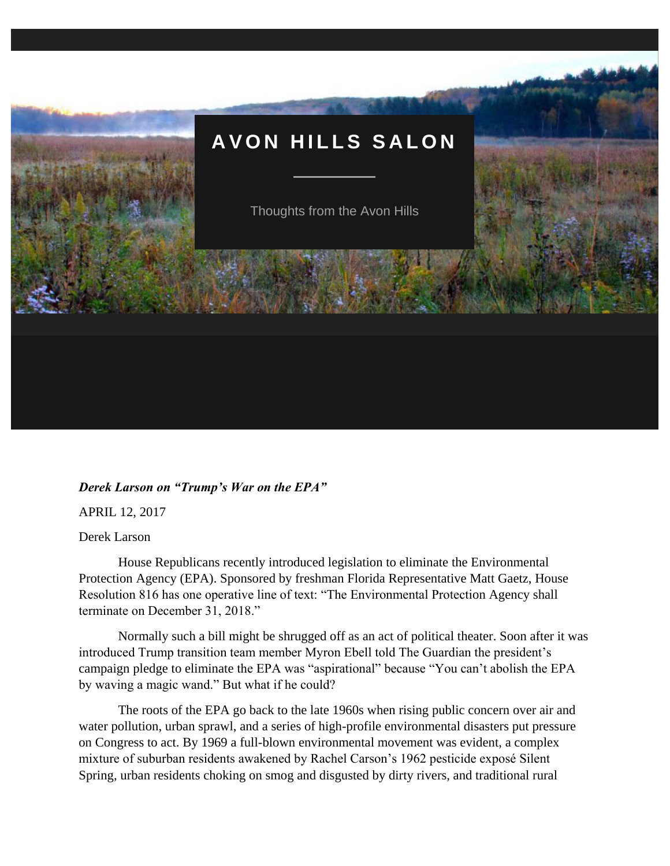

## *Derek Larson on "Trump's War on the EPA"*

APRIL 12, 2017

Derek Larson

House Republicans recently introduced legislation to eliminate the Environmental Protection Agency (EPA). Sponsored by freshman Florida Representative Matt Gaetz, House Resolution 816 has one operative line of text: "The Environmental Protection Agency shall terminate on December 31, 2018."

Normally such a bill might be shrugged off as an act of political theater. Soon after it was introduced Trump transition team member Myron Ebell told The Guardian the president's campaign pledge to eliminate the EPA was "aspirational" because "You can't abolish the EPA by waving a magic wand." But what if he could?

The roots of the EPA go back to the late 1960s when rising public concern over air and water pollution, urban sprawl, and a series of high-profile environmental disasters put pressure on Congress to act. By 1969 a full-blown environmental movement was evident, a complex mixture of suburban residents awakened by Rachel Carson's 1962 pesticide exposé Silent Spring, urban residents choking on smog and disgusted by dirty rivers, and traditional rural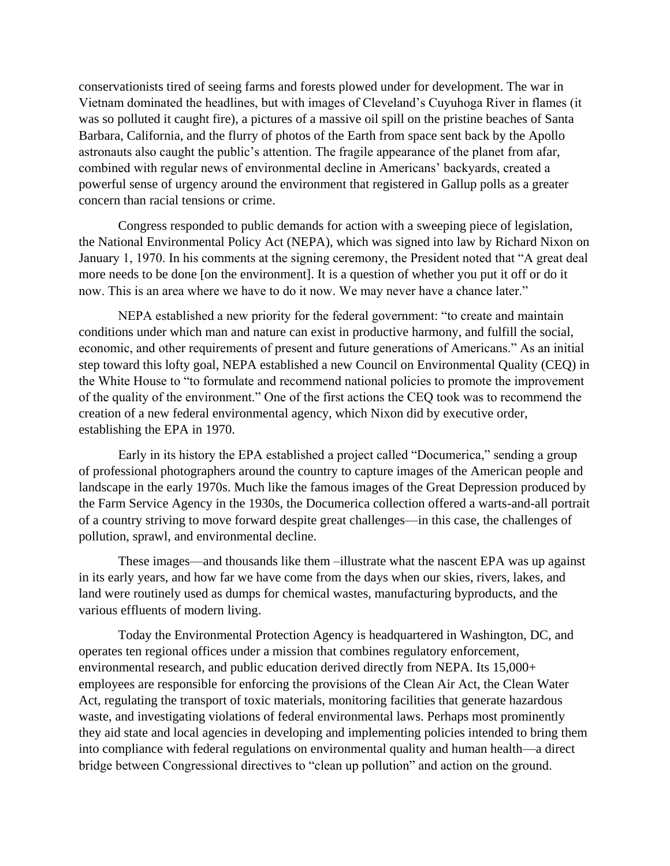conservationists tired of seeing farms and forests plowed under for development. The war in Vietnam dominated the headlines, but with images of Cleveland's Cuyuhoga River in flames (it was so polluted it caught fire), a pictures of a massive oil spill on the pristine beaches of Santa Barbara, California, and the flurry of photos of the Earth from space sent back by the Apollo astronauts also caught the public's attention. The fragile appearance of the planet from afar, combined with regular news of environmental decline in Americans' backyards, created a powerful sense of urgency around the environment that registered in Gallup polls as a greater concern than racial tensions or crime.

Congress responded to public demands for action with a sweeping piece of legislation, the National Environmental Policy Act (NEPA), which was signed into law by Richard Nixon on January 1, 1970. In his comments at the signing ceremony, the President noted that "A great deal more needs to be done [on the environment]. It is a question of whether you put it off or do it now. This is an area where we have to do it now. We may never have a chance later."

NEPA established a new priority for the federal government: "to create and maintain conditions under which man and nature can exist in productive harmony, and fulfill the social, economic, and other requirements of present and future generations of Americans." As an initial step toward this lofty goal, NEPA established a new Council on Environmental Quality (CEQ) in the White House to "to formulate and recommend national policies to promote the improvement of the quality of the environment." One of the first actions the CEQ took was to recommend the creation of a new federal environmental agency, which Nixon did by executive order, establishing the EPA in 1970.

Early in its history the EPA established a project called "Documerica," sending a group of professional photographers around the country to capture images of the American people and landscape in the early 1970s. Much like the famous images of the Great Depression produced by the Farm Service Agency in the 1930s, the Documerica collection offered a warts-and-all portrait of a country striving to move forward despite great challenges—in this case, the challenges of pollution, sprawl, and environmental decline.

These images—and thousands like them –illustrate what the nascent EPA was up against in its early years, and how far we have come from the days when our skies, rivers, lakes, and land were routinely used as dumps for chemical wastes, manufacturing byproducts, and the various effluents of modern living.

Today the Environmental Protection Agency is headquartered in Washington, DC, and operates ten regional offices under a mission that combines regulatory enforcement, environmental research, and public education derived directly from NEPA. Its 15,000+ employees are responsible for enforcing the provisions of the Clean Air Act, the Clean Water Act, regulating the transport of toxic materials, monitoring facilities that generate hazardous waste, and investigating violations of federal environmental laws. Perhaps most prominently they aid state and local agencies in developing and implementing policies intended to bring them into compliance with federal regulations on environmental quality and human health—a direct bridge between Congressional directives to "clean up pollution" and action on the ground.